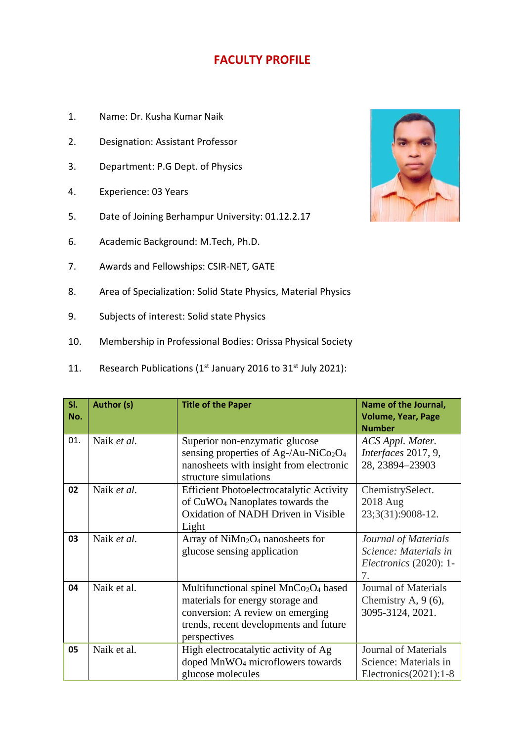## **FACULTY PROFILE**

- 1. Name: Dr. Kusha Kumar Naik
- 2. Designation: Assistant Professor
- 3. Department: P.G Dept. of Physics
- 4. Experience: 03 Years
- 5. Date of Joining Berhampur University: 01.12.2.17
- 6. Academic Background: M.Tech, Ph.D.
- 7. Awards and Fellowships: CSIR-NET, GATE
- 8. Area of Specialization: Solid State Physics, Material Physics
- 9. Subjects of interest: Solid state Physics
- 10. Membership in Professional Bodies: Orissa Physical Society
- 11. Research Publications ( $1<sup>st</sup>$  January 2016 to  $31<sup>st</sup>$  July 2021):

| SI. | <b>Author (s)</b> | <b>Title of the Paper</b>                                                                                                                                                                       | Name of the Journal,                                                                 |
|-----|-------------------|-------------------------------------------------------------------------------------------------------------------------------------------------------------------------------------------------|--------------------------------------------------------------------------------------|
| No. |                   |                                                                                                                                                                                                 | <b>Volume, Year, Page</b><br><b>Number</b>                                           |
| 01. | Naik et al.       | Superior non-enzymatic glucose<br>sensing properties of Ag- $/Au$ -NiCo <sub>2</sub> O <sub>4</sub><br>nanosheets with insight from electronic<br>structure simulations                         | ACS Appl. Mater.<br>Interfaces 2017, 9,<br>28, 23894-23903                           |
| 02  | Naik et al.       | <b>Efficient Photoelectrocatalytic Activity</b><br>of CuWO <sub>4</sub> Nanoplates towards the<br>Oxidation of NADH Driven in Visible<br>Light                                                  | ChemistrySelect.<br>2018 Aug<br>23;3(31):9008-12.                                    |
| 03  | Naik et al.       | Array of NiMn <sub>2</sub> O <sub>4</sub> nanosheets for<br>glucose sensing application                                                                                                         | Journal of Materials<br>Science: Materials in<br><i>Electronics</i> (2020): 1-<br>7. |
| 04  | Naik et al.       | Multifunctional spinel MnCo <sub>2</sub> O <sub>4</sub> based<br>materials for energy storage and<br>conversion: A review on emerging<br>trends, recent developments and future<br>perspectives | <b>Journal of Materials</b><br>Chemistry A, $9(6)$ ,<br>3095-3124, 2021.             |
| 05  | Naik et al.       | High electrocatalytic activity of Ag<br>doped MnWO <sub>4</sub> microflowers towards<br>glucose molecules                                                                                       | <b>Journal of Materials</b><br>Science: Materials in<br>Electronics $(2021):1-8$     |